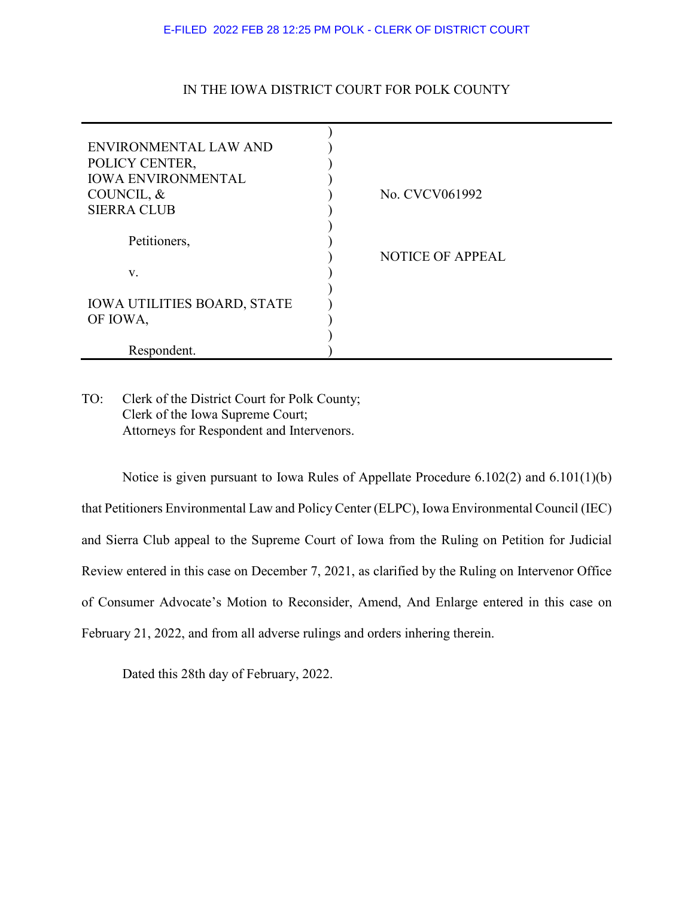## E-FILED 2022 FEB 28 12:25 PM POLK - CLERK OF DISTRICT COURT

## IN THE IOWA DISTRICT COURT FOR POLK COUNTY

| ENVIRONMENTAL LAW AND              |                         |
|------------------------------------|-------------------------|
| POLICY CENTER,                     |                         |
| <b>IOWA ENVIRONMENTAL</b>          |                         |
| COUNCIL, &                         | No. CVCV061992          |
| <b>SIERRA CLUB</b>                 |                         |
|                                    |                         |
| Petitioners,                       |                         |
|                                    | <b>NOTICE OF APPEAL</b> |
| V.                                 |                         |
|                                    |                         |
| <b>IOWA UTILITIES BOARD, STATE</b> |                         |
| OF IOWA,                           |                         |
|                                    |                         |
| Respondent.                        |                         |

TO: Clerk of the District Court for Polk County; Clerk of the Iowa Supreme Court; Attorneys for Respondent and Intervenors.

Notice is given pursuant to Iowa Rules of Appellate Procedure 6.102(2) and 6.101(1)(b) that Petitioners Environmental Law and Policy Center (ELPC), Iowa Environmental Council (IEC) and Sierra Club appeal to the Supreme Court of Iowa from the Ruling on Petition for Judicial Review entered in this case on December 7, 2021, as clarified by the Ruling on Intervenor Office of Consumer Advocate's Motion to Reconsider, Amend, And Enlarge entered in this case on February 21, 2022, and from all adverse rulings and orders inhering therein.

Dated this 28th day of February, 2022.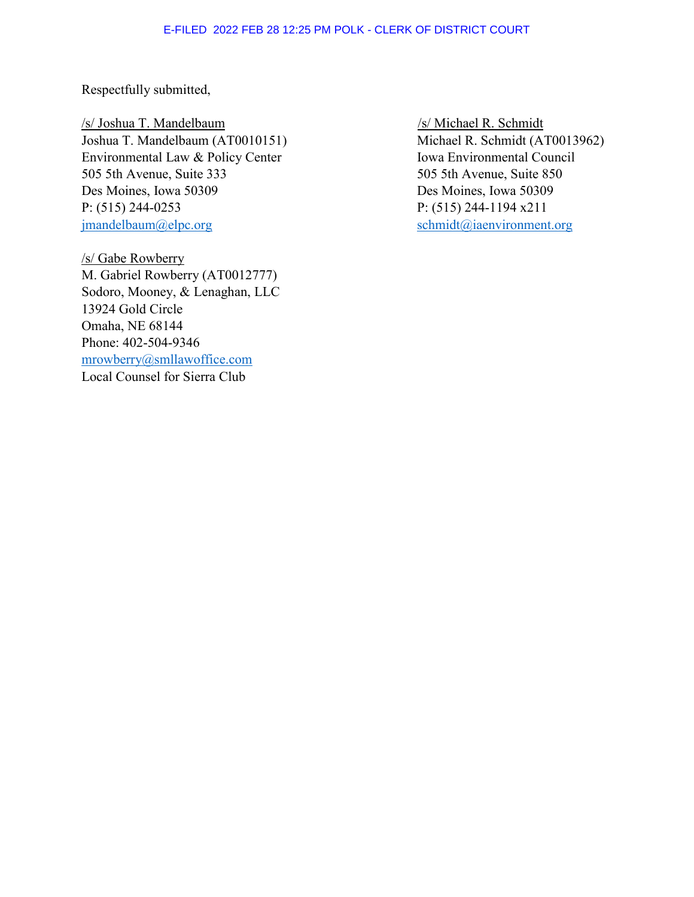Respectfully submitted,

/s/ Joshua T. Mandelbaum /s/ Michael R. Schmidt Joshua T. Mandelbaum (AT0010151) Michael R. Schmidt (AT0013962) Environmental Law & Policy Center Iowa Environmental Council 505 5th Avenue, Suite 333 505 5th Avenue, Suite 850 Des Moines, Iowa 50309 Des Moines, Iowa 50309 P: (515) 244-0253 P: (515) 244-1194 x211 [jmandelbaum@elpc.org](mailto:jmandelbaum@elpc.org) [schmidt@iaenvironment.org](mailto:schmidt@iaenvironment.org)

/s/ Gabe Rowberry M. Gabriel Rowberry (AT0012777) Sodoro, Mooney, & Lenaghan, LLC 13924 Gold Circle Omaha, NE 68144 Phone: 402-504-9346 [mrowberry@smllawoffice.com](mailto:mrowberry@smllawoffice.com) Local Counsel for Sierra Club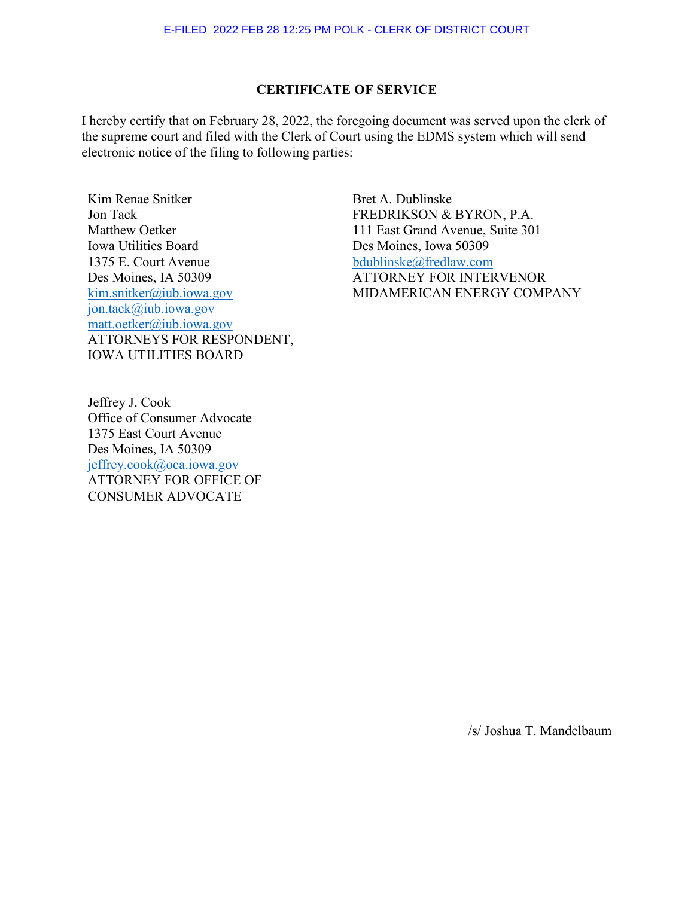## **CERTIFICATE OF SERVICE**

I hereby certify that on February 28, 2022, the foregoing document was served upon the clerk of the supreme court and filed with the Clerk of Court using the EDMS system which will send electronic notice of the filing to following parties:

Kim Renae Snitker Jon Tack Matthew Oetker Iowa Utilities Board 1375 E. Court Avenue Des Moines, IA 50309 [kim.snitker@iub.iowa.gov](mailto:kim.snitker@iub.iowa.gov) [jon.tack@iub.iowa.gov](mailto:jon.tack@iub.iowa.gov) [matt.oetker@iub.iowa.gov](mailto:matt.oetker@iub.iowa.gov) ATTORNEYS FOR RESPONDENT, IOWA UTILITIES BOARD

Bret A. Dublinske FREDRIKSON & BYRON, P.A. 111 East Grand Avenue, Suite 301 Des Moines, Iowa 50309 [bdublinske@fredlaw.com](mailto:bdublinske@fredlaw.com) ATTORNEY FOR INTERVENOR MIDAMERICAN ENERGY COMPANY

Jeffrey J. Cook Office of Consumer Advocate 1375 East Court Avenue Des Moines, IA 50309 [jeffrey.cook@oca.iowa.gov](mailto:jeffrey.cook@oca.iowa.gov) ATTORNEY FOR OFFICE OF CONSUMER ADVOCATE

/s/ Joshua T. Mandelbaum